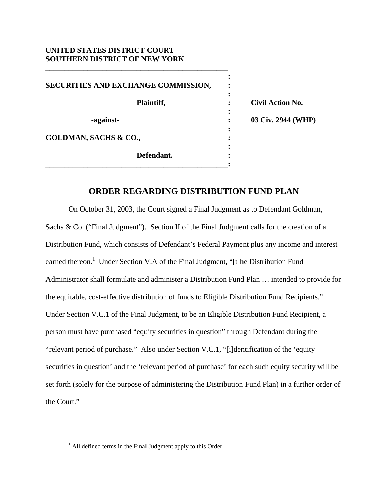## **UNITED STATES DISTRICT COURT SOUTHERN DISTRICT OF NEW YORK**

**\_\_\_\_\_\_\_\_\_\_\_\_\_\_\_\_\_\_\_\_\_\_\_\_\_\_\_\_\_\_\_\_\_\_\_\_\_\_\_\_\_\_\_\_\_\_\_\_** 

*x*  $\mathbf{r}$   $\mathbf{r}$   $\mathbf{r}$   $\mathbf{r}$   $\mathbf{r}$   $\mathbf{r}$   $\mathbf{r}$   $\mathbf{r}$   $\mathbf{r}$   $\mathbf{r}$   $\mathbf{r}$   $\mathbf{r}$   $\mathbf{r}$   $\mathbf{r}$   $\mathbf{r}$   $\mathbf{r}$   $\mathbf{r}$   $\mathbf{r}$   $\mathbf{r}$   $\mathbf{r}$   $\mathbf{r}$   $\mathbf{r}$   $\mathbf{r}$   $\mathbf{r}$  **SECURITIES AND EXCHANGE COMMISSION, :**  *x*  $\mathbf{r}$   $\mathbf{r}$   $\mathbf{r}$   $\mathbf{r}$   $\mathbf{r}$   $\mathbf{r}$   $\mathbf{r}$   $\mathbf{r}$   $\mathbf{r}$   $\mathbf{r}$   $\mathbf{r}$   $\mathbf{r}$   $\mathbf{r}$   $\mathbf{r}$   $\mathbf{r}$   $\mathbf{r}$   $\mathbf{r}$   $\mathbf{r}$   $\mathbf{r}$   $\mathbf{r}$   $\mathbf{r}$   $\mathbf{r}$   $\mathbf{r}$   $\mathbf{r}$   **Plaintiff, : Civil Action No.**  *x*  $\mathbf{r}$   $\mathbf{r}$   $\mathbf{r}$   $\mathbf{r}$   $\mathbf{r}$   $\mathbf{r}$   $\mathbf{r}$   $\mathbf{r}$   $\mathbf{r}$   $\mathbf{r}$   $\mathbf{r}$   $\mathbf{r}$   $\mathbf{r}$   $\mathbf{r}$   $\mathbf{r}$   $\mathbf{r}$   $\mathbf{r}$   $\mathbf{r}$   $\mathbf{r}$   $\mathbf{r}$   $\mathbf{r}$   $\mathbf{r}$   $\mathbf{r}$   $\mathbf{r}$   **-against- : 03 Civ. 2944 (WHP)**  *x*  $\mathbf{r}$   $\mathbf{r}$   $\mathbf{r}$   $\mathbf{r}$   $\mathbf{r}$   $\mathbf{r}$   $\mathbf{r}$   $\mathbf{r}$   $\mathbf{r}$   $\mathbf{r}$   $\mathbf{r}$   $\mathbf{r}$   $\mathbf{r}$   $\mathbf{r}$   $\mathbf{r}$   $\mathbf{r}$   $\mathbf{r}$   $\mathbf{r}$   $\mathbf{r}$   $\mathbf{r}$   $\mathbf{r}$   $\mathbf{r}$   $\mathbf{r}$   $\mathbf{r}$  GOLDMAN, SACHS & CO.,  $\cdot$ *x*  $\mathbf{r}$  :  $\mathbf{r}$  is the set of  $\mathbf{r}$  is the set of  $\mathbf{r}$  is the set of  $\mathbf{r}$  is the set of  $\mathbf{r}$  **Defendant. : \_\_\_\_\_\_\_\_\_\_\_\_\_\_\_\_\_\_\_\_\_\_\_\_\_\_\_\_\_\_\_\_\_\_\_\_\_\_\_\_\_\_\_\_\_\_\_\_:**

## **ORDER REGARDING DISTRIBUTION FUND PLAN**

 On October 31, 2003, the Court signed a Final Judgment as to Defendant Goldman, Sachs & Co. ("Final Judgment"). Section II of the Final Judgment calls for the creation of a Distribution Fund, which consists of Defendant's Federal Payment plus any income and interest earned thereon.<sup>1</sup> Under Section V.A of the Final Judgment, "[t]he Distribution Fund Administrator shall formulate and administer a Distribution Fund Plan … intended to provide for the equitable, cost-effective distribution of funds to Eligible Distribution Fund Recipients." Under Section V.C.1 of the Final Judgment, to be an Eligible Distribution Fund Recipient, a person must have purchased "equity securities in question" through Defendant during the "relevant period of purchase." Also under Section V.C.1, "[i]dentification of the 'equity securities in question' and the 'relevant period of purchase' for each such equity security will be set forth (solely for the purpose of administering the Distribution Fund Plan) in a further order of the Court."

 $\frac{1}{1}$  $<sup>1</sup>$  All defined terms in the Final Judgment apply to this Order.</sup>